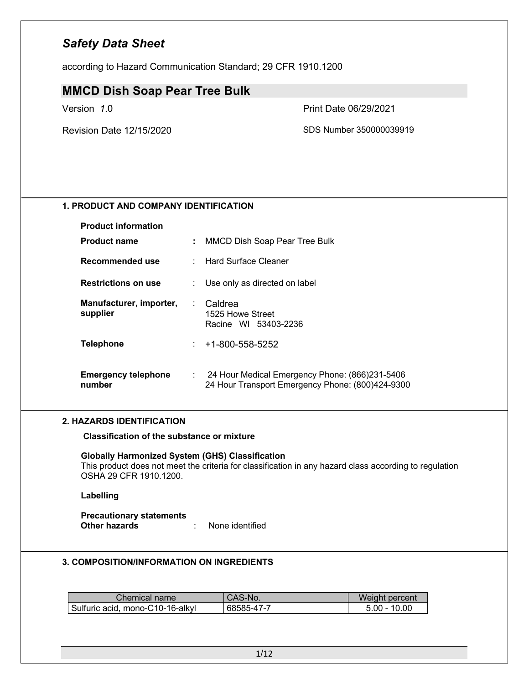according to Hazard Communication Standard; 29 CFR 1910.1200

### **MMCD Dish Soap Pear Tree Bulk**

Version *1*.0 Print Date 06/29/2021

Revision Date 12/15/2020 SDS Number 350000039919

### **1. PRODUCT AND COMPANY IDENTIFICATION**

| <b>Product information</b>           |      |                                                                                                    |
|--------------------------------------|------|----------------------------------------------------------------------------------------------------|
| <b>Product name</b>                  | ÷.   | MMCD Dish Soap Pear Tree Bulk                                                                      |
| Recommended use                      |      | : Hard Surface Cleaner                                                                             |
| <b>Restrictions on use</b>           |      | : Use only as directed on label                                                                    |
| Manufacturer, importer,<br>supplier  |      | : Caldrea<br>1525 Howe Street<br>Racine WI 53403-2236                                              |
| <b>Telephone</b>                     | t.   | +1-800-558-5252                                                                                    |
| <b>Emergency telephone</b><br>number | t in | 24 Hour Medical Emergency Phone: (866)231-5406<br>24 Hour Transport Emergency Phone: (800)424-9300 |

#### **2. HAZARDS IDENTIFICATION**

**Classification of the substance or mixture**

### **Globally Harmonized System (GHS) Classification**

This product does not meet the criteria for classification in any hazard class according to regulation OSHA 29 CFR 1910.1200.

### **Labelling**

**Precautionary statements Other hazards** : None identified

### **3. COMPOSITION/INFORMATION ON INGREDIENTS**

| Chemical name                    | CAS-No.    | Weight percent |
|----------------------------------|------------|----------------|
| Sulfuric acid, mono-C10-16-alkyl | 68585-47-7 | $5.00 - 10.00$ |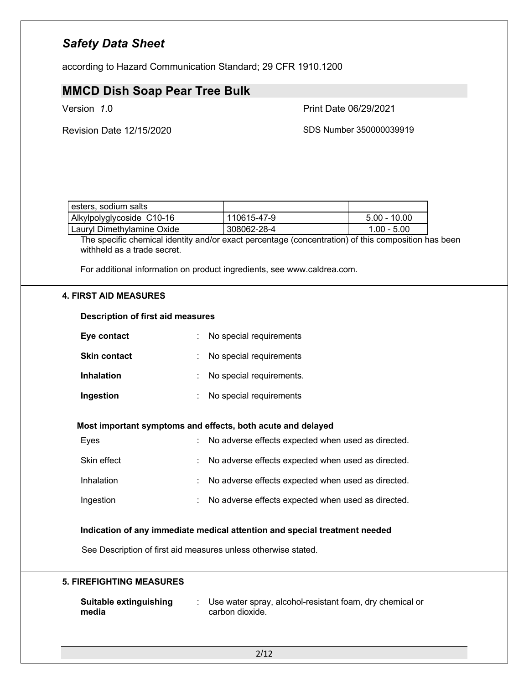according to Hazard Communication Standard; 29 CFR 1910.1200

### **MMCD Dish Soap Pear Tree Bulk**

Version *1*.0 Print Date 06/29/2021

Revision Date 12/15/2020 SDS Number 350000039919

| esters, sodium salts       |               |                |
|----------------------------|---------------|----------------|
| Alkylpolyglycoside C10-16  | l 110615-47-9 | $5.00 - 10.00$ |
| Lauryl Dimethylamine Oxide | 308062-28-4   | $1.00 - 5.00$  |

The specific chemical identity and/or exact percentage (concentration) of this composition has been withheld as a trade secret.

For additional information on product ingredients, see www.caldrea.com.

#### **4. FIRST AID MEASURES**

#### **Description of first aid measures**

| Eye contact         | : No special requirements  |
|---------------------|----------------------------|
| <b>Skin contact</b> | : No special requirements  |
| <b>Inhalation</b>   | : No special requirements. |
| Ingestion           | No special requirements    |

#### **Most important symptoms and effects, both acute and delayed**

| Eyes        |    | : No adverse effects expected when used as directed. |
|-------------|----|------------------------------------------------------|
| Skin effect |    | : No adverse effects expected when used as directed. |
| Inhalation  |    | : No adverse effects expected when used as directed. |
| Ingestion   | t. | No adverse effects expected when used as directed.   |

### **Indication of any immediate medical attention and special treatment needed**

See Description of first aid measures unless otherwise stated.

#### **5. FIREFIGHTING MEASURES**

| Suitable extinguishing | Use water spray, alcohol-resistant foam, dry chemical or |
|------------------------|----------------------------------------------------------|
| media                  | carbon dioxide.                                          |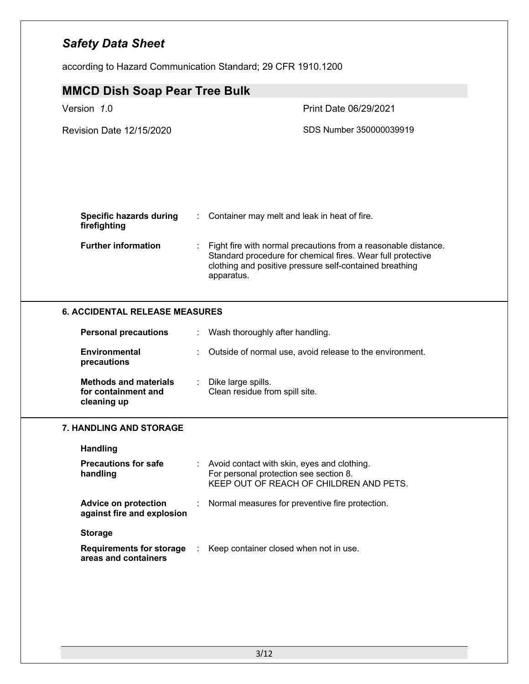according to Hazard Communication Standard; 29 CFR 1910.1200

|                                                                    |    | <b>MMCD Dish Soap Pear Tree Bulk</b>                                                                                                                                                                   |  |  |  |
|--------------------------------------------------------------------|----|--------------------------------------------------------------------------------------------------------------------------------------------------------------------------------------------------------|--|--|--|
| Version 1.0                                                        |    | Print Date 06/29/2021                                                                                                                                                                                  |  |  |  |
| <b>Revision Date 12/15/2020</b>                                    |    | SDS Number 350000039919                                                                                                                                                                                |  |  |  |
| <b>Specific hazards during</b><br>firefighting                     |    | Container may melt and leak in heat of fire.                                                                                                                                                           |  |  |  |
| <b>Further information</b>                                         |    | Fight fire with normal precautions from a reasonable distance.<br>Standard procedure for chemical fires. Wear full protective<br>clothing and positive pressure self-contained breathing<br>apparatus. |  |  |  |
| <b>6. ACCIDENTAL RELEASE MEASURES</b>                              |    |                                                                                                                                                                                                        |  |  |  |
| <b>Personal precautions</b>                                        | ÷. | Wash thoroughly after handling.                                                                                                                                                                        |  |  |  |
| <b>Environmental</b><br>precautions                                |    | Outside of normal use, avoid release to the environment.                                                                                                                                               |  |  |  |
| <b>Methods and materials</b><br>for containment and<br>cleaning up |    | Dike large spills.<br>Clean residue from spill site.                                                                                                                                                   |  |  |  |
| <b>7. HANDLING AND STORAGE</b>                                     |    |                                                                                                                                                                                                        |  |  |  |
|                                                                    |    |                                                                                                                                                                                                        |  |  |  |
| <b>Handling</b>                                                    |    |                                                                                                                                                                                                        |  |  |  |
| <b>Precautions for safe</b><br>handling                            |    | : Avoid contact with skin, eyes and clothing.<br>For personal protection see section 8.<br>KEEP OUT OF REACH OF CHILDREN AND PETS.                                                                     |  |  |  |
| <b>Advice on protection</b><br>against fire and explosion          |    | Normal measures for preventive fire protection.                                                                                                                                                        |  |  |  |
| <b>Storage</b>                                                     |    |                                                                                                                                                                                                        |  |  |  |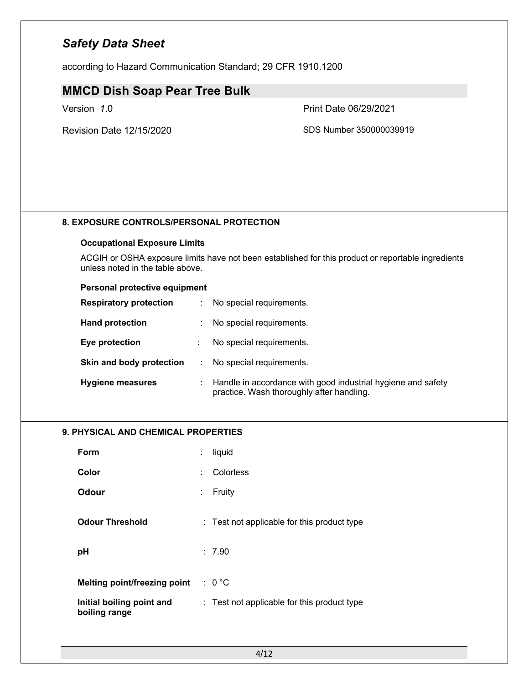according to Hazard Communication Standard; 29 CFR 1910.1200

### **MMCD Dish Soap Pear Tree Bulk**

Version *1*.0 Print Date 06/29/2021

Revision Date 12/15/2020 SDS Number 350000039919

### **8. EXPOSURE CONTROLS/PERSONAL PROTECTION**

### **Occupational Exposure Limits**

ACGIH or OSHA exposure limits have not been established for this product or reportable ingredients unless noted in the table above.

### **Personal protective equipment**

| <b>Respiratory protection</b> | ÷. | No special requirements.                                                                                    |
|-------------------------------|----|-------------------------------------------------------------------------------------------------------------|
| <b>Hand protection</b>        |    | No special requirements.                                                                                    |
| Eye protection                |    | No special requirements.                                                                                    |
| Skin and body protection      | ÷. | No special requirements.                                                                                    |
| <b>Hygiene measures</b>       |    | : Handle in accordance with good industrial hygiene and safety<br>practice. Wash thoroughly after handling. |

### **9. PHYSICAL AND CHEMICAL PROPERTIES**

| Form                                       |   | liquid                                      |
|--------------------------------------------|---|---------------------------------------------|
| Color                                      |   | Colorless                                   |
| Odour                                      | ÷ | Fruity                                      |
| <b>Odour Threshold</b>                     |   | : Test not applicable for this product type |
| pH                                         |   | : 7.90                                      |
|                                            |   |                                             |
| <b>Melting point/freezing point</b>        |   | $: 0^{\circ}$ C                             |
| Initial boiling point and<br>boiling range |   | : Test not applicable for this product type |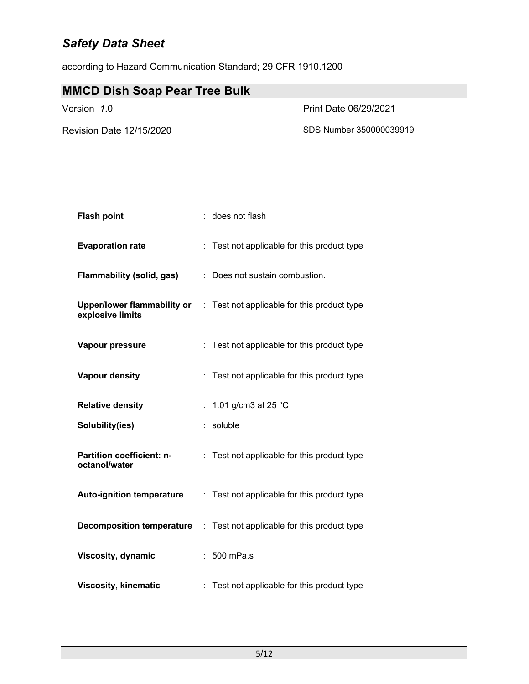according to Hazard Communication Standard; 29 CFR 1910.1200

# **MMCD Dish Soap Pear Tree Bulk**

Version *1*.0 Print Date 06/29/2021

Revision Date 12/15/2020 SDS Number 350000039919

| <b>Flash point</b>                                     |    | does not flash                              |
|--------------------------------------------------------|----|---------------------------------------------|
| <b>Evaporation rate</b>                                |    | : Test not applicable for this product type |
| Flammability (solid, gas)                              |    | Does not sustain combustion.                |
| <b>Upper/lower flammability or</b><br>explosive limits |    | : Test not applicable for this product type |
| Vapour pressure                                        |    | Test not applicable for this product type   |
| <b>Vapour density</b>                                  |    | Test not applicable for this product type   |
| <b>Relative density</b>                                | t. | 1.01 g/cm3 at 25 °C                         |
| Solubility(ies)                                        |    | soluble                                     |
| <b>Partition coefficient: n-</b><br>octanol/water      |    | : Test not applicable for this product type |
| <b>Auto-ignition temperature</b>                       |    | : Test not applicable for this product type |
| <b>Decomposition temperature</b>                       | ÷. | Test not applicable for this product type   |
| <b>Viscosity, dynamic</b>                              |    | 500 mPa.s                                   |
| <b>Viscosity, kinematic</b>                            |    | Test not applicable for this product type   |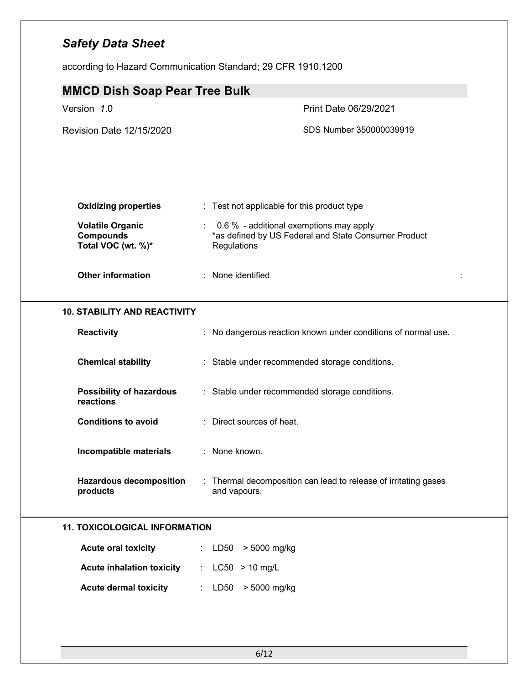according to Hazard Communication Standard; 29 CFR 1910.1200

| <b>MMCD Dish Soap Pear Tree Bulk</b>                              |                                                                                                                |
|-------------------------------------------------------------------|----------------------------------------------------------------------------------------------------------------|
| Version 1.0                                                       | Print Date 06/29/2021                                                                                          |
| Revision Date 12/15/2020                                          | SDS Number 350000039919                                                                                        |
| <b>Oxidizing properties</b>                                       | : Test not applicable for this product type                                                                    |
| <b>Volatile Organic</b><br><b>Compounds</b><br>Total VOC (wt. %)* | 0.6 % - additional exemptions may apply<br>*as defined by US Federal and State Consumer Product<br>Regulations |
| <b>Other information</b>                                          | : None identified                                                                                              |
| <b>10. STABILITY AND REACTIVITY</b>                               |                                                                                                                |
| Reactivity                                                        | : No dangerous reaction known under conditions of normal use.                                                  |
| <b>Chemical stability</b>                                         | : Stable under recommended storage conditions.                                                                 |
| <b>Possibility of hazardous</b><br>reactions                      | : Stable under recommended storage conditions.                                                                 |
| <b>Conditions to avoid</b>                                        | : Direct sources of heat.                                                                                      |
| Incompatible materials                                            | : None known.                                                                                                  |
| <b>Hazardous decomposition</b><br>products                        | : Thermal decomposition can lead to release of irritating gases<br>and vapours.                                |
| <b>11. TOXICOLOGICAL INFORMATION</b>                              |                                                                                                                |
| <b>Acute oral toxicity</b>                                        | : $LD50 > 5000$ mg/kg                                                                                          |
| <b>Acute inhalation toxicity</b>                                  | : $LC50 > 10$ mg/L                                                                                             |
| <b>Acute dermal toxicity</b>                                      | : LD50 > 5000 mg/kg                                                                                            |
|                                                                   |                                                                                                                |
|                                                                   |                                                                                                                |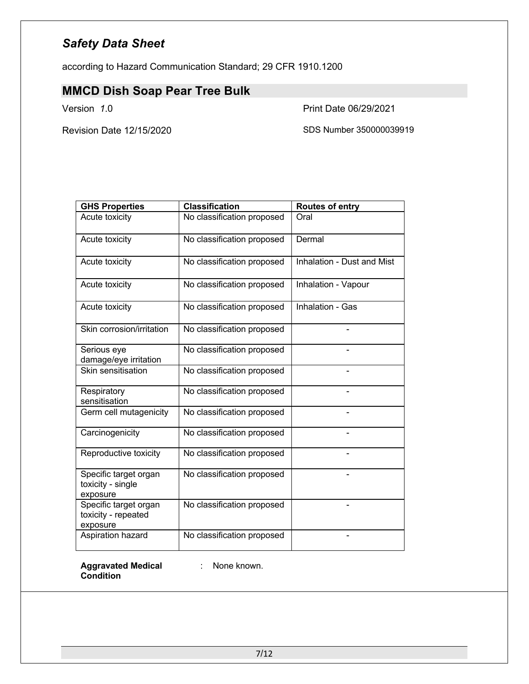according to Hazard Communication Standard; 29 CFR 1910.1200

# **MMCD Dish Soap Pear Tree Bulk**

Version *1*.0 Print Date 06/29/2021

Revision Date 12/15/2020 SDS Number 350000039919

| <b>GHS Properties</b>                                    | <b>Classification</b>      | <b>Routes of entry</b>     |
|----------------------------------------------------------|----------------------------|----------------------------|
| Acute toxicity                                           | No classification proposed | Oral                       |
| Acute toxicity                                           | No classification proposed | Dermal                     |
| Acute toxicity                                           | No classification proposed | Inhalation - Dust and Mist |
| Acute toxicity                                           | No classification proposed | Inhalation - Vapour        |
| Acute toxicity                                           | No classification proposed | Inhalation - Gas           |
| Skin corrosion/irritation                                | No classification proposed |                            |
| Serious eye<br>damage/eye irritation                     | No classification proposed |                            |
| Skin sensitisation                                       | No classification proposed |                            |
| Respiratory<br>sensitisation                             | No classification proposed |                            |
| Germ cell mutagenicity                                   | No classification proposed |                            |
| Carcinogenicity                                          | No classification proposed |                            |
| Reproductive toxicity                                    | No classification proposed |                            |
| Specific target organ<br>toxicity - single<br>exposure   | No classification proposed |                            |
| Specific target organ<br>toxicity - repeated<br>exposure | No classification proposed |                            |
| Aspiration hazard                                        | No classification proposed |                            |

**Aggravated Medical**  : None known.**Condition**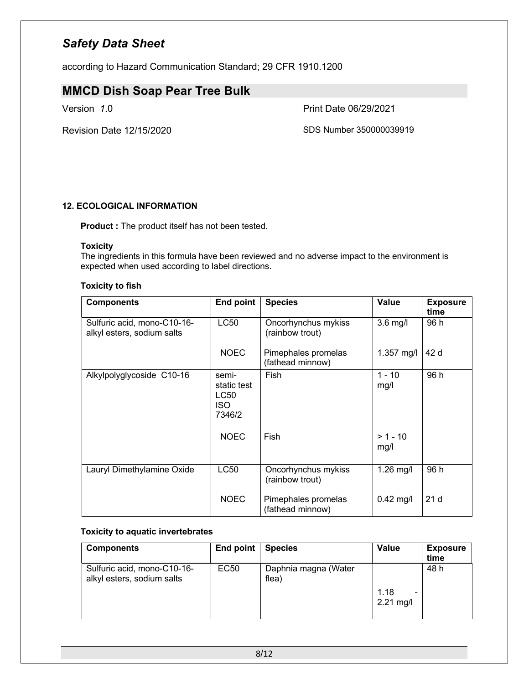according to Hazard Communication Standard; 29 CFR 1910.1200

# **MMCD Dish Soap Pear Tree Bulk**

Version *1*.0 Print Date 06/29/2021

Revision Date 12/15/2020 SDS Number 350000039919

### **12. ECOLOGICAL INFORMATION**

**Product :** The product itself has not been tested.

### **Toxicity**

The ingredients in this formula have been reviewed and no adverse impact to the environment is expected when used according to label directions.

#### **Toxicity to fish**

| <b>Components</b>                                         | <b>End point</b>                                     | <b>Species</b>                          | <b>Value</b>       | <b>Exposure</b><br>time |
|-----------------------------------------------------------|------------------------------------------------------|-----------------------------------------|--------------------|-------------------------|
| Sulfuric acid, mono-C10-16-<br>alkyl esters, sodium salts | <b>LC50</b>                                          | Oncorhynchus mykiss<br>(rainbow trout)  | $3.6$ mg/l         | 96 h                    |
|                                                           | <b>NOEC</b>                                          | Pimephales promelas<br>(fathead minnow) | 1.357 mg/l         | 42 d                    |
| Alkylpolyglycoside C10-16                                 | semi-<br>static test<br>LC50<br><b>ISO</b><br>7346/2 | Fish                                    | $1 - 10$<br>mg/l   | 96 h                    |
|                                                           | <b>NOEC</b>                                          | Fish                                    | $> 1 - 10$<br>mg/l |                         |
| Lauryl Dimethylamine Oxide                                | <b>LC50</b>                                          | Oncorhynchus mykiss<br>(rainbow trout)  | $1.26$ mg/l        | 96 h                    |
|                                                           | <b>NOEC</b>                                          | Pimephales promelas<br>(fathead minnow) | $0.42$ mg/l        | 21 <sub>d</sub>         |

#### **Toxicity to aquatic invertebrates**

| <b>Components</b>                                         | End point | <b>Species</b>                | <b>Value</b>             | <b>Exposure</b> |
|-----------------------------------------------------------|-----------|-------------------------------|--------------------------|-----------------|
|                                                           |           |                               |                          | time            |
| Sulfuric acid, mono-C10-16-<br>alkyl esters, sodium salts | EC50      | Daphnia magna (Water<br>flea) | 1.18<br>-<br>$2.21$ mg/l | 48 h            |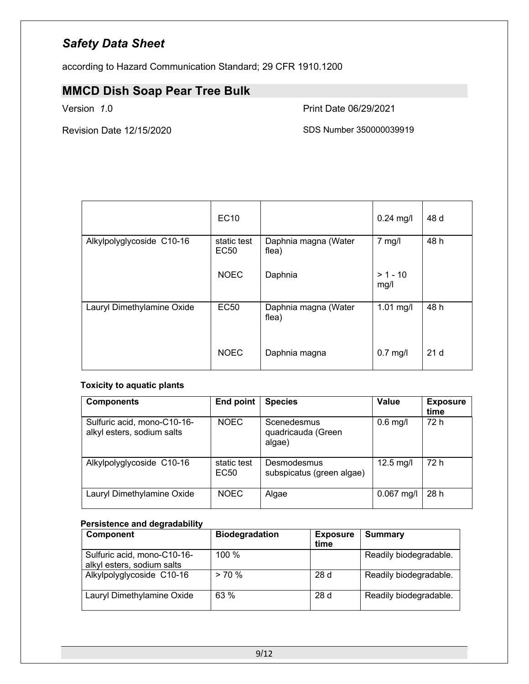according to Hazard Communication Standard; 29 CFR 1910.1200

# **MMCD Dish Soap Pear Tree Bulk**

Version *1*.0 Print Date 06/29/2021

Revision Date 12/15/2020 SDS Number 350000039919

|                            | EC10                |                               | $0.24$ mg/l        | 48 d            |
|----------------------------|---------------------|-------------------------------|--------------------|-----------------|
| Alkylpolyglycoside C10-16  | static test<br>EC50 | Daphnia magna (Water<br>flea) | $7$ mg/l           | 48 h            |
|                            | <b>NOEC</b>         | Daphnia                       | $> 1 - 10$<br>mg/l |                 |
| Lauryl Dimethylamine Oxide | <b>EC50</b>         | Daphnia magna (Water<br>flea) | $1.01$ mg/l        | 48 h            |
|                            | <b>NOEC</b>         | Daphnia magna                 | $0.7$ mg/l         | 21 <sub>d</sub> |

### **Toxicity to aquatic plants**

| <b>Components</b>                                         | <b>End point</b>                | <b>Species</b>                              | Value        | <b>Exposure</b><br>time |
|-----------------------------------------------------------|---------------------------------|---------------------------------------------|--------------|-------------------------|
| Sulfuric acid, mono-C10-16-<br>alkyl esters, sodium salts | NOEC                            | Scenedesmus<br>quadricauda (Green<br>algae) | $0.6$ mg/l   | 72 h                    |
| Alkylpolyglycoside C10-16                                 | static test<br>EC <sub>50</sub> | Desmodesmus<br>subspicatus (green algae)    | $12.5$ mg/l  | 72 h                    |
| Lauryl Dimethylamine Oxide                                | NOEC                            | Algae                                       | $0.067$ mg/l | 28h                     |

### **Persistence and degradability**

| <b>Component</b>                                          | <b>Biodegradation</b> | <b>Exposure</b><br>time | <b>Summary</b>         |
|-----------------------------------------------------------|-----------------------|-------------------------|------------------------|
| Sulfuric acid, mono-C10-16-<br>alkyl esters, sodium salts | 100 $%$               |                         | Readily biodegradable. |
| Alkylpolyglycoside C10-16                                 | $> 70\%$              | 28d                     | Readily biodegradable. |
| Lauryl Dimethylamine Oxide                                | 63 %                  | 28d                     | Readily biodegradable. |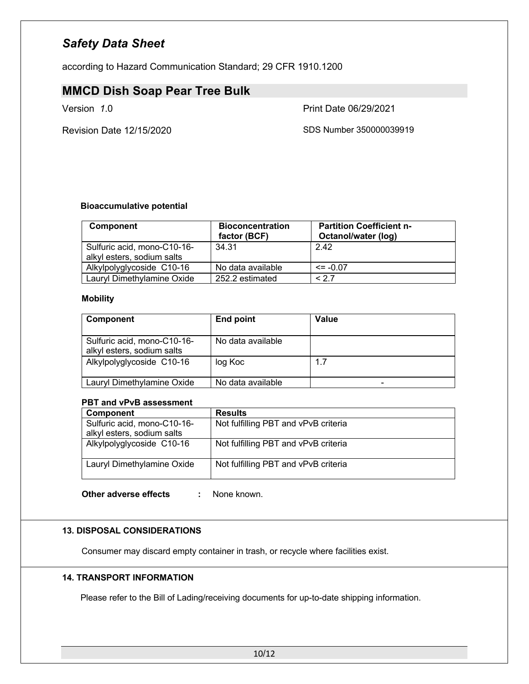according to Hazard Communication Standard; 29 CFR 1910.1200

# **MMCD Dish Soap Pear Tree Bulk**

Version *1*.0 Print Date 06/29/2021

Revision Date 12/15/2020 SDS Number 350000039919

### **Bioaccumulative potential**

| <b>Component</b>                                          | <b>Bioconcentration</b><br>factor (BCF) | <b>Partition Coefficient n-</b><br>Octanol/water (log) |
|-----------------------------------------------------------|-----------------------------------------|--------------------------------------------------------|
| Sulfuric acid, mono-C10-16-<br>alkyl esters, sodium salts | 34.31                                   | 2.42                                                   |
| Alkylpolyglycoside C10-16                                 | No data available                       | $\leq$ = -0.07                                         |
| Lauryl Dimethylamine Oxide                                | 252.2 estimated                         | < 27                                                   |

### **Mobility**

| <b>Component</b>                                          | End point         | Value                    |
|-----------------------------------------------------------|-------------------|--------------------------|
| Sulfuric acid, mono-C10-16-<br>alkyl esters, sodium salts | No data available |                          |
| Alkylpolyglycoside C10-16                                 | log Koc           | 1.7                      |
| Lauryl Dimethylamine Oxide                                | No data available | $\overline{\phantom{0}}$ |

### **PBT and vPvB assessment**

| Component                   | <b>Results</b>                       |
|-----------------------------|--------------------------------------|
| Sulfuric acid, mono-C10-16- | Not fulfilling PBT and vPvB criteria |
| alkyl esters, sodium salts  |                                      |
| Alkylpolyglycoside C10-16   | Not fulfilling PBT and vPvB criteria |
| Lauryl Dimethylamine Oxide  | Not fulfilling PBT and vPvB criteria |

### **Other adverse effects :** None known.

### **13. DISPOSAL CONSIDERATIONS**

Consumer may discard empty container in trash, or recycle where facilities exist.

### **14. TRANSPORT INFORMATION**

Please refer to the Bill of Lading/receiving documents for up-to-date shipping information.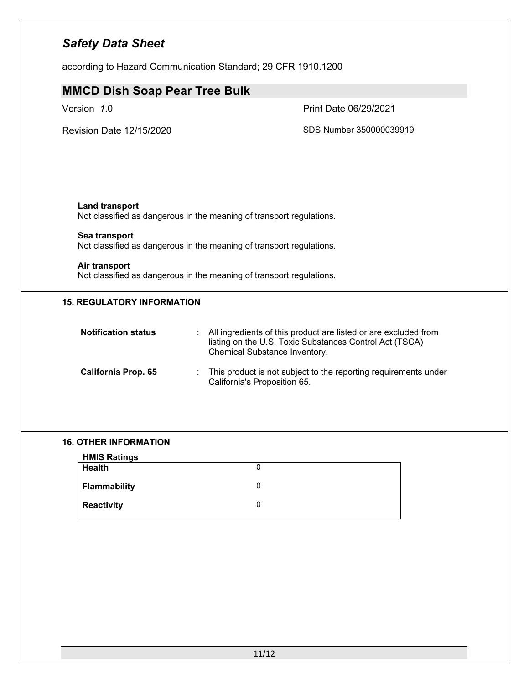according to Hazard Communication Standard; 29 CFR 1910.1200

| <b>MMCD Dish Soap Pear Tree Bulk</b>                                                          |                                                                                                                                                             |
|-----------------------------------------------------------------------------------------------|-------------------------------------------------------------------------------------------------------------------------------------------------------------|
| Version 1.0                                                                                   | Print Date 06/29/2021                                                                                                                                       |
| Revision Date 12/15/2020                                                                      | SDS Number 350000039919                                                                                                                                     |
|                                                                                               |                                                                                                                                                             |
|                                                                                               |                                                                                                                                                             |
| <b>Land transport</b><br>Not classified as dangerous in the meaning of transport regulations. |                                                                                                                                                             |
| Sea transport<br>Not classified as dangerous in the meaning of transport regulations.         |                                                                                                                                                             |
| Air transport<br>Not classified as dangerous in the meaning of transport regulations.         |                                                                                                                                                             |
| <b>15. REGULATORY INFORMATION</b>                                                             |                                                                                                                                                             |
| <b>Notification status</b>                                                                    | All ingredients of this product are listed or are excluded from<br>listing on the U.S. Toxic Substances Control Act (TSCA)<br>Chemical Substance Inventory. |
| <b>California Prop. 65</b>                                                                    | This product is not subject to the reporting requirements under<br>California's Proposition 65.                                                             |
|                                                                                               |                                                                                                                                                             |

### **16. OTHER INFORMATION**

| <b>HMIS Ratings</b> |  |
|---------------------|--|
| <b>Health</b>       |  |
| <b>Flammability</b> |  |
| <b>Reactivity</b>   |  |